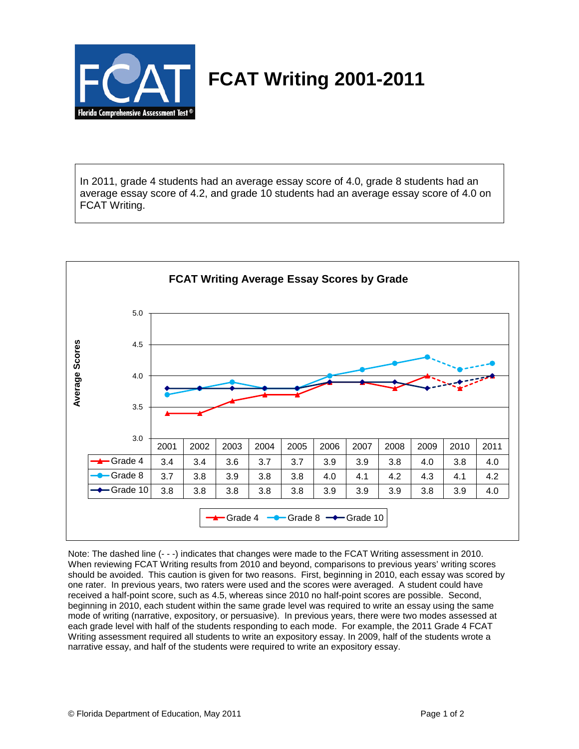

## **FCAT Writing 2001-2011**

In 2011, grade 4 students had an average essay score of 4.0, grade 8 students had an average essay score of 4.2, and grade 10 students had an average essay score of 4.0 on FCAT Writing.



Note: The dashed line (- - -) indicates that changes were made to the FCAT Writing assessment in 2010. When reviewing FCAT Writing results from 2010 and beyond, comparisons to previous years' writing scores should be avoided. This caution is given for two reasons. First, beginning in 2010, each essay was scored by one rater. In previous years, two raters were used and the scores were averaged. A student could have received a half-point score, such as 4.5, whereas since 2010 no half-point scores are possible. Second, beginning in 2010, each student within the same grade level was required to write an essay using the same mode of writing (narrative, expository, or persuasive). In previous years, there were two modes assessed at each grade level with half of the students responding to each mode. For example, the 2011 Grade 4 FCAT Writing assessment required all students to write an expository essay. In 2009, half of the students wrote a narrative essay, and half of the students were required to write an expository essay.